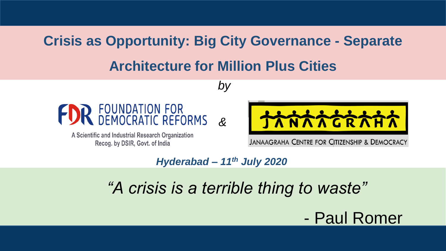# **Crisis as Opportunity: Big City Governance - Separate**

## **Architecture for Million Plus Cities**

*by*



A Scientific and Industrial Research Organization Recog. by DSIR, Govt. of India

**ANAAGRAF** 

**JANAAGRAHA CENTRE FOR CITIZENSHIP & DEMOCRACY** 

*Hyderabad – 11th July 2020*

*&* 

# *"A crisis is a terrible thing to waste"*

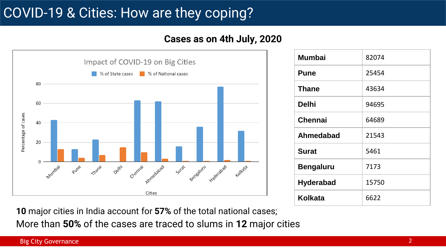# COVID-19 & Cities: How are they coping?

### **Cases as on 4th July, 2020**



| <b>Mumbai</b>    | 82074 |
|------------------|-------|
| <b>Pune</b>      | 25454 |
| <b>Thane</b>     | 43634 |
| <b>Delhi</b>     | 94695 |
| <b>Chennai</b>   | 64689 |
| Ahmedabad        | 21543 |
| <b>Surat</b>     | 5461  |
| <b>Bengaluru</b> | 7173  |
| <b>Hyderabad</b> | 15750 |
| Kolkata          | 6622  |

**10** major cities in India account for **57%** of the total national cases;

More than **50%** of the cases are traced to slums in **12** major cities

#### Big City Governance **2**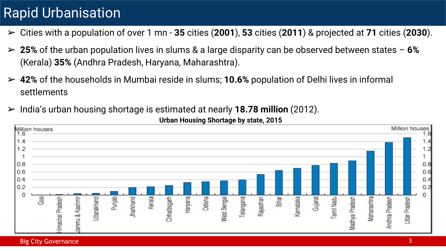# Rapid Urbanisation

- ➢ Cities with a population of over 1 mn **35** cities (**2001**), **53** cities (**2011**) & projected at **71** cities (**2030**).
- ➢ **25%** of the urban population lives in slums & a large disparity can be observed between states **6%** (Kerala) **35%** (Andhra Pradesh, Haryana, Maharashtra).
- ➢ **42%** of the households in Mumbai reside in slums; **10.6%** population of Delhi lives in informal settlements
- ➢ India's urban housing shortage is estimated at nearly **18.78 million** (2012).



**Urban Housing Shortage by state, 2015**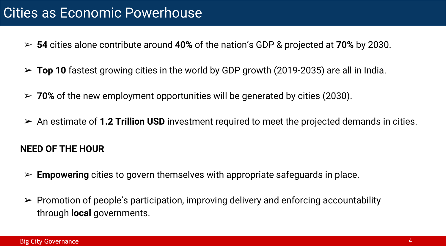- ➢ **54** cities alone contribute around **40%** of the nation's GDP & projected at **70%** by 2030.
- ➢ **Top 10** fastest growing cities in the world by GDP growth (2019-2035) are all in India.
- ➢ **70%** of the new employment opportunities will be generated by cities (2030).
- ➢ An estimate of **1.2 Trillion USD** investment required to meet the projected demands in cities.

### **NEED OF THE HOUR**

- ➢ **Empowering** cities to govern themselves with appropriate safeguards in place.
- $\triangleright$  Promotion of people's participation, improving delivery and enforcing accountability through **local** governments.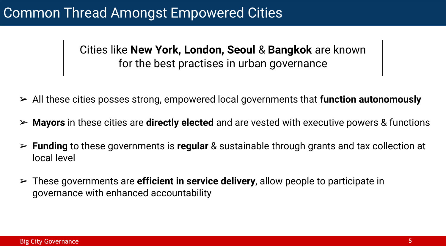## Common Thread Amongst Empowered Cities

Cities like **New York, London, Seoul** & **Bangkok** are known for the best practises in urban governance

- ➢ All these cities posses strong, empowered local governments that **function autonomously**
- ➢ **Mayors** in these cities are **directly elected** and are vested with executive powers & functions
- ➢ **Funding** to these governments is **regular** & sustainable through grants and tax collection at local level
- ➢ These governments are **efficient in service delivery**, allow people to participate in governance with enhanced accountability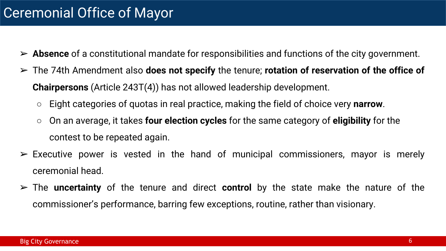- ➢ **Absence** of a constitutional mandate for responsibilities and functions of the city government.
- ➢ The 74th Amendment also **does not specify** the tenure; **rotation of reservation of the office of Chairpersons** (Article 243T(4)) has not allowed leadership development.
	- Eight categories of quotas in real practice, making the field of choice very **narrow**.
	- On an average, it takes **four election cycles** for the same category of **eligibility** for the contest to be repeated again.
- $\triangleright$  Executive power is vested in the hand of municipal commissioners, mayor is merely ceremonial head.
- ➢ The **uncertainty** of the tenure and direct **control** by the state make the nature of the commissioner's performance, barring few exceptions, routine, rather than visionary.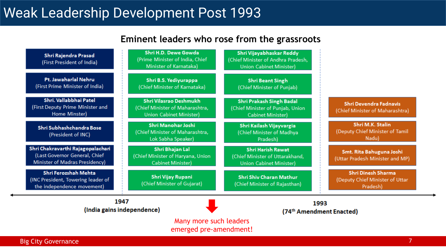# Weak Leadership Development Post 1993

### **Eminent leaders who rose from the grassroots**

| Shri Rajendra Prasad<br>(First President of India)                                                   | Shri H.D. Dewe Gowda<br>(Prime Minister of India, Chief<br>Minister of Karnataka)           | Shri Vijayabhaskar Reddy<br>(Chief Minister of Andhra Pradesh,<br><b>Union Cabinet Minister)</b> |                                                                          |
|------------------------------------------------------------------------------------------------------|---------------------------------------------------------------------------------------------|--------------------------------------------------------------------------------------------------|--------------------------------------------------------------------------|
| Pt. Jawaharlal Nehru<br>(First Prime Minister of India)                                              | Shri B.S. Yediyurappa<br>(Chief Minister of Karnataka)                                      | <b>Shri Beant Singh</b><br>(Chief Minister of Punjab)                                            |                                                                          |
| Shri. Vallabbhai Patel<br>(First Deputy Prime Minister and<br>Home Minster)                          | Shri Vilasrao Deshmukh<br>(Chief Minister of Maharashtra,<br><b>Union Cabinet Minister)</b> | Shri Prakash Singh Badal<br>(Chief Minister of Punjab, Union<br>Cabinet Minister)                | <b>Shri Devendra Fadnavis</b><br>(Chief Minister of Maharashtra)         |
| Shri Subhashchandra Bose<br>(President of INC)                                                       | <b>Shri Manohar Joshi</b><br>(Chief Minister of Maharashtra,<br>Lok Sabha Speaker)          | Shri Kailash Vijayvargia<br>(Chief Minister of Madhya<br>Pradesh)                                | Shri M.K. Stalin<br>(Deputy Chief Minister of Tamil<br>Nadu)             |
| Shri Chakravarthi Rajagopalachari<br>(Last Governor General, Chief<br>Minister of Madras Presidency) | Shri Bhajan Lal<br>(Chief Minister of Haryana, Union<br>Cabinet Minister)                   | <b>Shri Harish Rawat</b><br>(Chief Minister of Uttarakhand,<br><b>Union Cabinet Minister)</b>    | Smt. Rita Bahuguna Joshi<br>(Uttar Pradesh Minister and MP)              |
| Shri Ferozshah Mehta<br>(INC President, Towering leader of<br>the independence movement)             | Shri Vijay Rupani<br>(Chief Minister of Gujarat)                                            | <b>Shri Shiv Charan Mathur</b><br>(Chief Minister of Rajasthan)                                  | <b>Shri Dinesh Sharma</b><br>(Deputy Chief Minister of Uttar<br>Pradesh) |
| 1947<br>(India gains independence)                                                                   |                                                                                             | 1993<br>(74th Amendment Enacted)                                                                 |                                                                          |
| Many more such leaders<br>emerged pre-amendment!                                                     |                                                                                             |                                                                                                  |                                                                          |

Big City Governance **7 Big City Governance** 7 *Big City Governance* 7 *Big City Governance*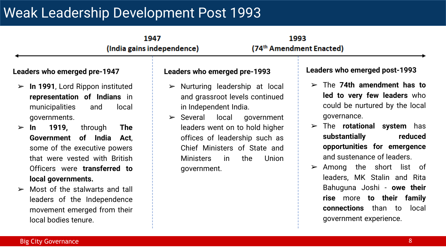# Weak Leadership Development Post 1993

|                                                                                                                                                                                                                                                                                          | 1947<br>(India gains independence)                                                                                                                                | 1993<br>(74 <sup>th</sup> Amendment Enacted)                                                                                                                                                                                                                        |
|------------------------------------------------------------------------------------------------------------------------------------------------------------------------------------------------------------------------------------------------------------------------------------------|-------------------------------------------------------------------------------------------------------------------------------------------------------------------|---------------------------------------------------------------------------------------------------------------------------------------------------------------------------------------------------------------------------------------------------------------------|
| Leaders who emerged pre-1947                                                                                                                                                                                                                                                             | Leaders who emerged pre-1993                                                                                                                                      | Leaders who emerged post-1993                                                                                                                                                                                                                                       |
| In 1991, Lord Rippon instituted<br>$\blacktriangleright$<br>representation of Indians in<br>municipalities<br>local<br>and<br>governments.                                                                                                                                               | Nurturing leadership at local<br>$\blacktriangleright$<br>and grassroot levels continued<br>in Independent India.<br>$\triangleright$ Several local<br>government | The 74th amendment has to<br>$\blacktriangleright$<br>led to very few leaders who<br>could be nurtured by the local<br>governance.                                                                                                                                  |
| 1919,<br>through<br><b>The</b><br>$\ln$<br>$\blacktriangleright$<br>Government of India<br>Act,<br>some of the executive powers<br>that were vested with British<br>Officers were <b>transferred</b> to<br>local governments.<br>Most of the stalwarts and tall<br>$\blacktriangleright$ | leaders went on to hold higher<br>offices of leadership such as<br>Chief Ministers of State and<br><b>Ministers</b><br>the<br>Union<br>in i<br>government.        | The <b>rotational system</b> has<br>$\blacktriangleright$<br>substantially<br>reduced<br>opportunities for emergence<br>and sustenance of leaders.<br>Among the short list of<br>$\blacktriangleright$<br>leaders, MK Stalin and Rita<br>Bahuguna Joshi - owe their |
| leaders of the Independence<br>movement emerged from their<br>local bodies tenure.                                                                                                                                                                                                       |                                                                                                                                                                   | rise more to their family<br><b>connections</b> than to local<br>government experience.                                                                                                                                                                             |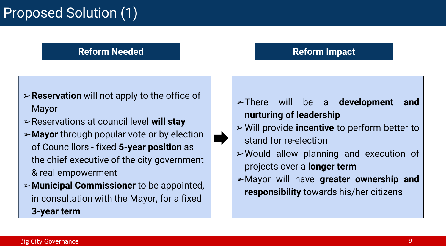# Proposed Solution (1)

#### **Reform Needed Reform Impact**

## ➢**Reservation** will not apply to the office of Mayor

- ➢Reservations at council level **will stay**
- ➢**Mayor** through popular vote or by election of Councillors - fixed **5-year position** as the chief executive of the city government & real empowerment
- ➢**Municipal Commissioner** to be appointed, in consultation with the Mayor, for a fixed **3-year term**

### ➢There will be a **development and nurturing of leadership**

- ➢Will provide **incentive** to perform better to stand for re-election
- ➢Would allow planning and execution of projects over a **longer term**
- ➢Mayor will have **greater ownership and responsibility** towards his/her citizens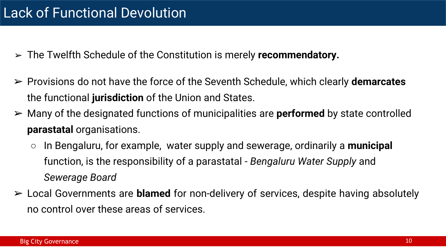- ➢ The Twelfth Schedule of the Constitution is merely **recommendatory.**
- ➢ Provisions do not have the force of the Seventh Schedule, which clearly **demarcates** the functional **jurisdiction** of the Union and States.
- ➢ Many of the designated functions of municipalities are **performed** by state controlled **parastatal** organisations.
	- In Bengaluru, for example, water supply and sewerage, ordinarily a **municipal** function, is the responsibility of a parastatal - *Bengaluru Water Supply* and *Sewerage Board*
- ➢ Local Governments are **blamed** for non-delivery of services, despite having absolutely no control over these areas of services.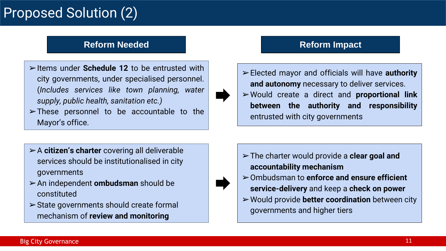# Proposed Solution (2)

#### **Reform Needed <b>Reform Impact**

- ➢Items under **Schedule 12** to be entrusted with city governments, under specialised personnel. (*Includes services like town planning, water supply, public health, sanitation etc.)*
- $\triangleright$  These personnel to be accountable to the Mayor's office.

- ➢Elected mayor and officials will have **authority and autonomy** necessary to deliver services.
- ➢Would create a direct and **proportional link between the authority and responsibility** entrusted with city governments

- ➢A **citizen's charter** covering all deliverable services should be institutionalised in city governments
- ➢An independent **ombudsman** should be constituted
- $\triangleright$  State governments should create formal mechanism of **review and monitoring**
- ➢The charter would provide a **clear goal and accountability mechanism**
- ➢Ombudsman to **enforce and ensure efficient service-delivery** and keep a **check on power**
- ➢Would provide **better coordination** between city governments and higher tiers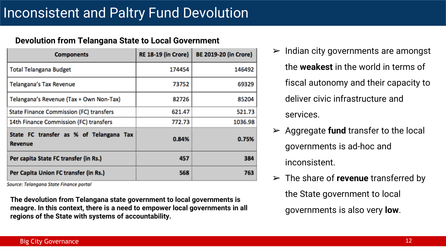#### **Devolution from Telangana State to Local Government**

| <b>Components</b>                                         | <b>RE 18-19 (in Crore)</b> | <b>BE 2019-20 (in Crore)</b> |
|-----------------------------------------------------------|----------------------------|------------------------------|
| <b>Total Telangana Budget</b>                             | 174454                     | 146492                       |
| Telangana's Tax Revenue                                   | 73752                      | 69329                        |
| Telangana's Revenue (Tax + Own Non-Tax)                   | 82726                      | 85204                        |
| <b>State Finance Commission (FC) transfers</b>            | 621.47                     | 521.73                       |
| 14th Finance Commission (FC) transfers                    | 772.73                     | 1036.98                      |
| State FC transfer as % of Telangana Tax<br><b>Revenue</b> | 0.84%                      | 0.75%                        |
| Per capita State FC transfer (in Rs.)                     | 457                        | 384                          |
| Per Capita Union FC transfer (in Rs.)                     | 568                        | 763                          |

Source: Telangana State Finance portal

**The devolution from Telangana state government to local governments is meagre. In this context, there is a need to empower local governments in all regions of the State with systems of accountability.** 

- Indian city governments are amongst the **weakest** in the world in terms of fiscal autonomy and their capacity to deliver civic infrastructure and services.
- ➢ Aggregate **fund** transfer to the local governments is ad-hoc and inconsistent.
- ➢ The share of **revenue** transferred by the State government to local governments is also very **low**.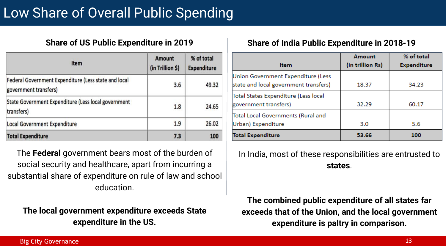| Item                                                                          | <b>Amount</b><br>(in Trillion \$) | % of total<br><b>Expenditure</b> |  |
|-------------------------------------------------------------------------------|-----------------------------------|----------------------------------|--|
| Federal Government Expenditure (Less state and local<br>government transfers) | 3.6                               | 49.32                            |  |
| State Government Expenditure (Less local government<br>transfers)             | 1.8                               | 24.65                            |  |
| <b>Local Government Expenditure</b>                                           | 1.9                               | 26.02                            |  |
| <b>Total Expenditure</b>                                                      | 7.3                               | 100                              |  |

The **Federal** government bears most of the burden of social security and healthcare, apart from incurring a substantial share of expenditure on rule of law and school education.

**The local government expenditure exceeds State expenditure in the US.**

#### **Share of US Public Expenditure in 2019 Share of India Public Expenditure in 2018-19**

|                                                                             | Amount           | % of total         |
|-----------------------------------------------------------------------------|------------------|--------------------|
| <b>Item</b>                                                                 | (in trillion Rs) | <b>Expenditure</b> |
| Union Government Expenditure (Less<br>state and local government transfers) | 18.37            | 34.23              |
| Total States Expenditure (Less local<br>government transfers)               | 32.29            | 60.17              |
| Total Local Governments (Rural and<br>Urban) Expenditure                    | 3.0              | 5.6                |
| <b>Total Expenditure</b>                                                    | 53.66            | 100                |

In India, most of these responsibilities are entrusted to **states**.

**The combined public expenditure of all states far exceeds that of the Union, and the local government expenditure is paltry in comparison.**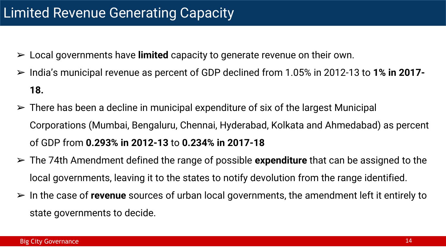- ➢ Local governments have **limited** capacity to generate revenue on their own.
- ➢ India's municipal revenue as percent of GDP declined from 1.05% in 2012-13 to **1% in 2017- 18.**
- $\triangleright$  There has been a decline in municipal expenditure of six of the largest Municipal Corporations (Mumbai, Bengaluru, Chennai, Hyderabad, Kolkata and Ahmedabad) as percent of GDP from **0.293% in 2012-13** to **0.234% in 2017-18**
- ➢ The 74th Amendment defined the range of possible **expenditure** that can be assigned to the local governments, leaving it to the states to notify devolution from the range identified.
- ➢ In the case of **revenue** sources of urban local governments, the amendment left it entirely to state governments to decide.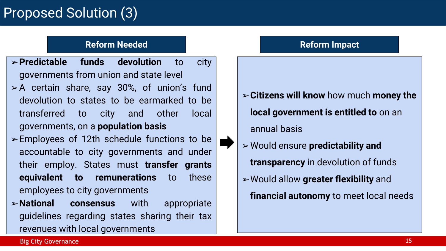# Proposed Solution (3)

#### **Reform Needed Reform Impact**

- ➢**Predictable funds devolution** to city governments from union and state level
- $\triangleright$  A certain share, say 30%, of union's fund devolution to states to be earmarked to be transferred to city and other local governments, on a **population basis**
- $\triangleright$  Employees of 12th schedule functions to be accountable to city governments and under their employ. States must **transfer grants equivalent to remunerations** to these employees to city governments
- ➢**National consensus** with appropriate guidelines regarding states sharing their tax revenues with local governments

- ➢**Citizens will know** how much **money the local government is entitled to** on an annual basis
- ➢Would ensure **predictability and transparency** in devolution of funds ➢Would allow **greater flexibility** and **financial autonomy** to meet local needs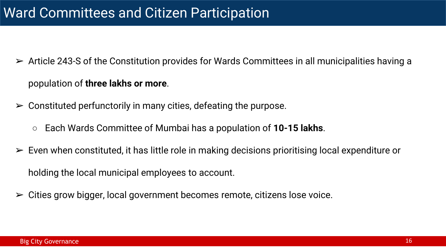- $\triangleright$  Article 243-S of the Constitution provides for Wards Committees in all municipalities having a population of **three lakhs or more**.
- $\triangleright$  Constituted perfunctorily in many cities, defeating the purpose.
	- Each Wards Committee of Mumbai has a population of **10-15 lakhs**.
- $\triangleright$  Even when constituted, it has little role in making decisions prioritising local expenditure or holding the local municipal employees to account.
- $\triangleright$  Cities grow bigger, local government becomes remote, citizens lose voice.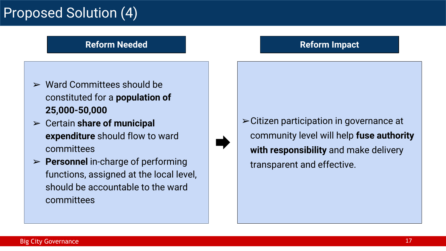# Proposed Solution (4)

#### **Reform Needed Reform Impact**

- $\triangleright$  Ward Committees should be constituted for a **population of 25,000-50,000**
- ➢ Certain **share of municipal expenditure** should flow to ward committees
- ➢ **Personnel** in-charge of performing functions, assigned at the local level, should be accountable to the ward committees

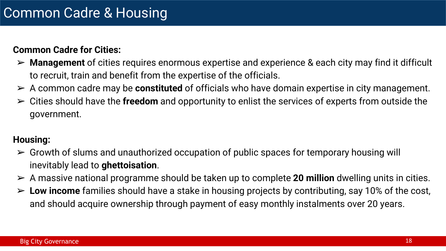#### **Common Cadre for Cities:**

- ➢ **Management** of cities requires enormous expertise and experience & each city may find it difficult to recruit, train and benefit from the expertise of the officials.
- ➢ A common cadre may be **constituted** of officials who have domain expertise in city management.
- ➢ Cities should have the **freedom** and opportunity to enlist the services of experts from outside the government.

### **Housing:**

- $\triangleright$  Growth of slums and unauthorized occupation of public spaces for temporary housing will inevitably lead to **ghettoisation**.
- ➢ A massive national programme should be taken up to complete **20 million** dwelling units in cities.
- ➢ **Low income** families should have a stake in housing projects by contributing, say 10% of the cost, and should acquire ownership through payment of easy monthly instalments over 20 years.